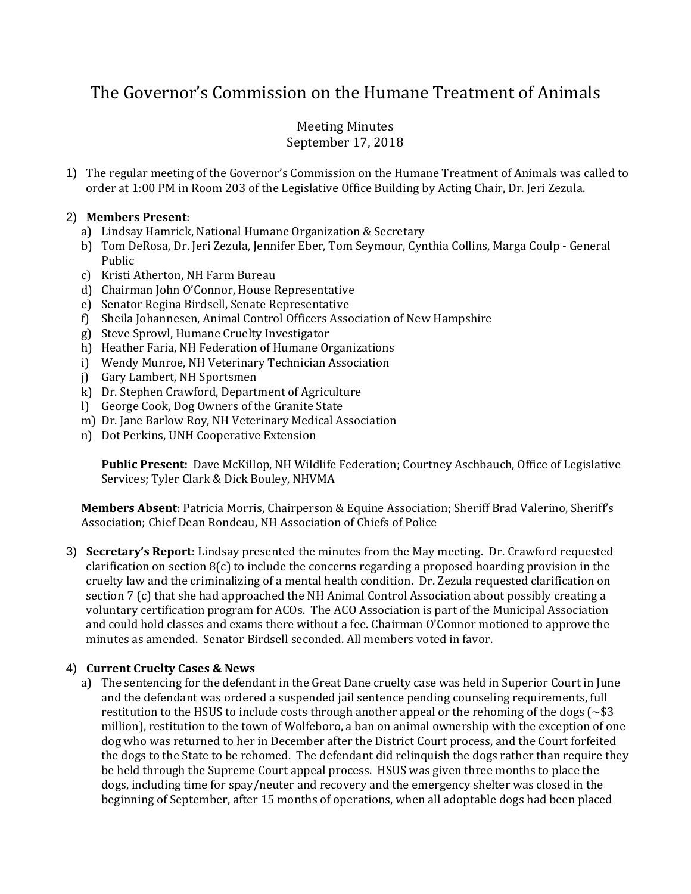# The Governor's Commission on the Humane Treatment of Animals

## Meeting Minutes September 17, 2018

1) The regular meeting of the Governor's Commission on the Humane Treatment of Animals was called to order at 1:00 PM in Room 203 of the Legislative Office Building by Acting Chair, Dr. Jeri Zezula.

## 2) **Members Present**:

- a) Lindsay Hamrick, National Humane Organization & Secretary
- b) Tom DeRosa, Dr. Jeri Zezula, Jennifer Eber, Tom Seymour, Cynthia Collins, Marga Coulp General Public
- c) Kristi Atherton, NH Farm Bureau
- d) Chairman John O'Connor, House Representative
- e) Senator Regina Birdsell, Senate Representative
- f) Sheila Johannesen, Animal Control Officers Association of New Hampshire
- g) Steve Sprowl, Humane Cruelty Investigator
- h) Heather Faria, NH Federation of Humane Organizations
- i) Wendy Munroe, NH Veterinary Technician Association
- j) Gary Lambert, NH Sportsmen
- k) Dr. Stephen Crawford, Department of Agriculture
- l) George Cook, Dog Owners of the Granite State
- m) Dr. Jane Barlow Roy, NH Veterinary Medical Association
- n) Dot Perkins, UNH Cooperative Extension

**Public Present:** Dave McKillop, NH Wildlife Federation; Courtney Aschbauch, Office of Legislative Services; Tyler Clark & Dick Bouley, NHVMA

**Members Absent**: Patricia Morris, Chairperson & Equine Association; Sheriff Brad Valerino, Sheriff's Association; Chief Dean Rondeau, NH Association of Chiefs of Police

3) **Secretary's Report:** Lindsay presented the minutes from the May meeting. Dr. Crawford requested clarification on section  $8(c)$  to include the concerns regarding a proposed hoarding provision in the cruelty law and the criminalizing of a mental health condition. Dr. Zezula requested clarification on section 7 (c) that she had approached the NH Animal Control Association about possibly creating a voluntary certification program for ACOs. The ACO Association is part of the Municipal Association and could hold classes and exams there without a fee. Chairman O'Connor motioned to approve the minutes as amended. Senator Birdsell seconded. All members voted in favor.

## 4) **Current Cruelty Cases & News**

a) The sentencing for the defendant in the Great Dane cruelty case was held in Superior Court in June and the defendant was ordered a suspended jail sentence pending counseling requirements, full restitution to the HSUS to include costs through another appeal or the rehoming of the dogs ( $\sim$ \$3) million), restitution to the town of Wolfeboro, a ban on animal ownership with the exception of one dog who was returned to her in December after the District Court process, and the Court forfeited the dogs to the State to be rehomed. The defendant did relinquish the dogs rather than require they be held through the Supreme Court appeal process. HSUS was given three months to place the dogs, including time for spay/neuter and recovery and the emergency shelter was closed in the beginning of September, after 15 months of operations, when all adoptable dogs had been placed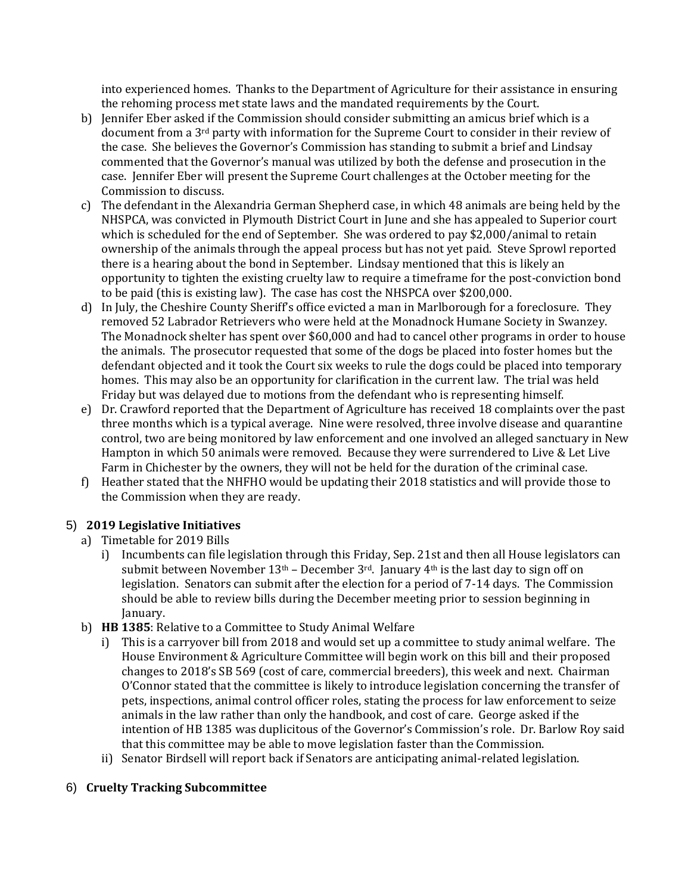into experienced homes. Thanks to the Department of Agriculture for their assistance in ensuring the rehoming process met state laws and the mandated requirements by the Court.

- b) Jennifer Eber asked if the Commission should consider submitting an amicus brief which is a document from a 3<sup>rd</sup> party with information for the Supreme Court to consider in their review of the case. She believes the Governor's Commission has standing to submit a brief and Lindsay commented that the Governor's manual was utilized by both the defense and prosecution in the case. Jennifer Eber will present the Supreme Court challenges at the October meeting for the Commission to discuss.
- c) The defendant in the Alexandria German Shepherd case, in which 48 animals are being held by the NHSPCA, was convicted in Plymouth District Court in June and she has appealed to Superior court which is scheduled for the end of September. She was ordered to pay \$2,000/animal to retain ownership of the animals through the appeal process but has not yet paid. Steve Sprowl reported there is a hearing about the bond in September. Lindsay mentioned that this is likely an opportunity to tighten the existing cruelty law to require a timeframe for the post-conviction bond to be paid (this is existing law). The case has cost the NHSPCA over \$200,000.
- d) In July, the Cheshire County Sheriff's office evicted a man in Marlborough for a foreclosure. They removed 52 Labrador Retrievers who were held at the Monadnock Humane Society in Swanzey. The Monadnock shelter has spent over \$60,000 and had to cancel other programs in order to house the animals. The prosecutor requested that some of the dogs be placed into foster homes but the defendant objected and it took the Court six weeks to rule the dogs could be placed into temporary homes. This may also be an opportunity for clarification in the current law. The trial was held Friday but was delayed due to motions from the defendant who is representing himself.
- e) Dr. Crawford reported that the Department of Agriculture has received 18 complaints over the past three months which is a typical average. Nine were resolved, three involve disease and quarantine control, two are being monitored by law enforcement and one involved an alleged sanctuary in New Hampton in which 50 animals were removed. Because they were surrendered to Live & Let Live Farm in Chichester by the owners, they will not be held for the duration of the criminal case.
- f) Heather stated that the NHFHO would be updating their 2018 statistics and will provide those to the Commission when they are ready.

## 5) **2019 Legislative Initiatives**

- a) Timetable for 2019 Bills
	- i) Incumbents can file legislation through this Friday, Sep. 21st and then all House legislators can submit between November  $13<sup>th</sup>$  – December  $3<sup>rd</sup>$ . January  $4<sup>th</sup>$  is the last day to sign off on legislation. Senators can submit after the election for a period of 7-14 days. The Commission should be able to review bills during the December meeting prior to session beginning in January.
- b) **HB 1385**: Relative to a Committee to Study Animal Welfare
	- i) This is a carryover bill from 2018 and would set up a committee to study animal welfare. The House Environment & Agriculture Committee will begin work on this bill and their proposed changes to 2018's SB 569 (cost of care, commercial breeders), this week and next. Chairman O'Connor stated that the committee is likely to introduce legislation concerning the transfer of pets, inspections, animal control officer roles, stating the process for law enforcement to seize animals in the law rather than only the handbook, and cost of care. George asked if the intention of HB 1385 was duplicitous of the Governor's Commission's role. Dr. Barlow Roy said that this committee may be able to move legislation faster than the Commission.
	- ii) Senator Birdsell will report back if Senators are anticipating animal-related legislation.

## 6) **Cruelty Tracking Subcommittee**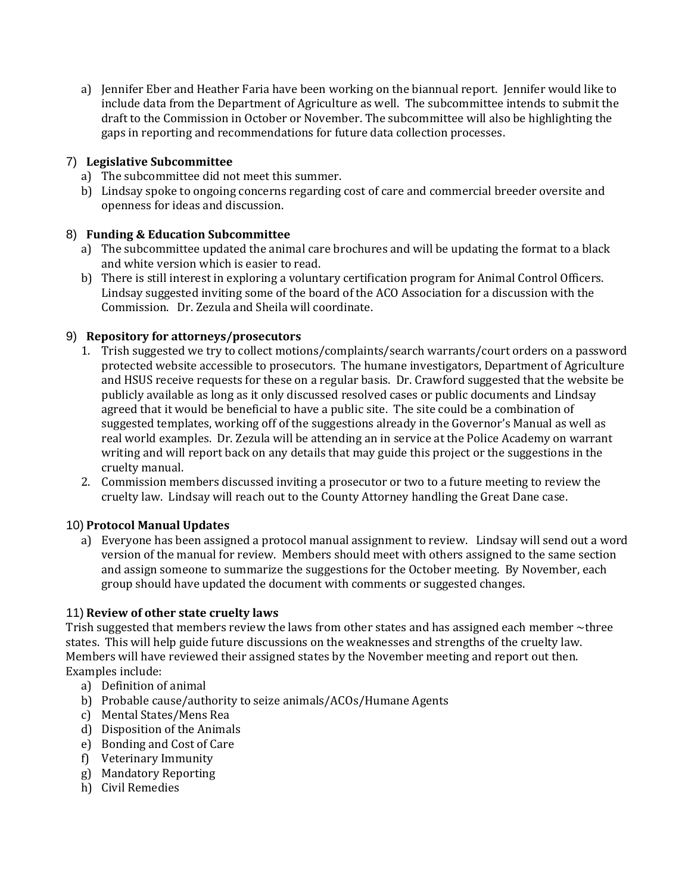a) Jennifer Eber and Heather Faria have been working on the biannual report. Jennifer would like to include data from the Department of Agriculture as well. The subcommittee intends to submit the draft to the Commission in October or November. The subcommittee will also be highlighting the gaps in reporting and recommendations for future data collection processes.

## 7) **Legislative Subcommittee**

- a) The subcommittee did not meet this summer.
- b) Lindsay spoke to ongoing concerns regarding cost of care and commercial breeder oversite and openness for ideas and discussion.

## 8) **Funding & Education Subcommittee**

- a) The subcommittee updated the animal care brochures and will be updating the format to a black and white version which is easier to read.
- b) There is still interest in exploring a voluntary certification program for Animal Control Officers. Lindsay suggested inviting some of the board of the ACO Association for a discussion with the Commission. Dr. Zezula and Sheila will coordinate.

## 9) **Repository for attorneys/prosecutors**

- 1. Trish suggested we try to collect motions/complaints/search warrants/court orders on a password protected website accessible to prosecutors. The humane investigators, Department of Agriculture and HSUS receive requests for these on a regular basis. Dr. Crawford suggested that the website be publicly available as long as it only discussed resolved cases or public documents and Lindsay agreed that it would be beneficial to have a public site. The site could be a combination of suggested templates, working off of the suggestions already in the Governor's Manual as well as real world examples. Dr. Zezula will be attending an in service at the Police Academy on warrant writing and will report back on any details that may guide this project or the suggestions in the cruelty manual.
- 2. Commission members discussed inviting a prosecutor or two to a future meeting to review the cruelty law. Lindsay will reach out to the County Attorney handling the Great Dane case.

## 10) **Protocol Manual Updates**

a) Everyone has been assigned a protocol manual assignment to review. Lindsay will send out a word version of the manual for review. Members should meet with others assigned to the same section and assign someone to summarize the suggestions for the October meeting. By November, each group should have updated the document with comments or suggested changes.

## 11) **Review of other state cruelty laws**

Trish suggested that members review the laws from other states and has assigned each member  $\sim$ three states. This will help guide future discussions on the weaknesses and strengths of the cruelty law. Members will have reviewed their assigned states by the November meeting and report out then. Examples include:

- a) Definition of animal
- b) Probable cause/authority to seize animals/ACOs/Humane Agents
- c) Mental States/Mens Rea
- d) Disposition of the Animals
- e) Bonding and Cost of Care
- f) Veterinary Immunity
- g) Mandatory Reporting
- h) Civil Remedies